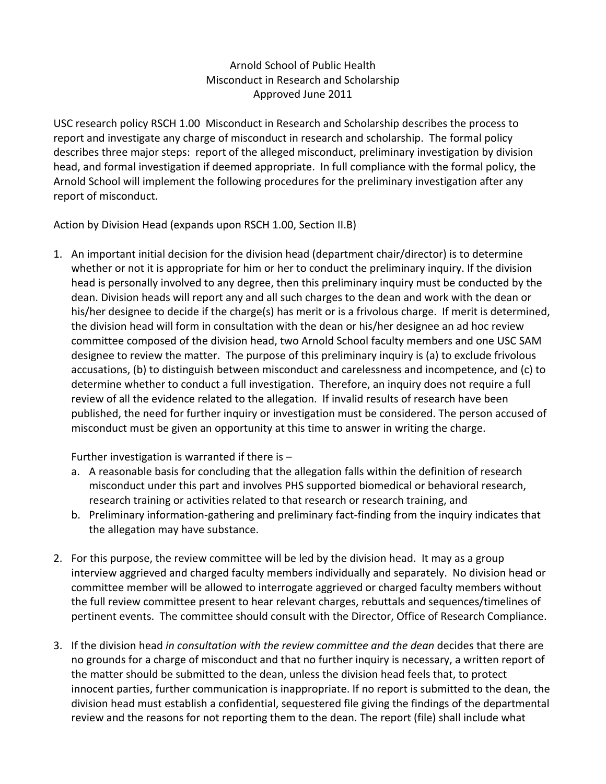## Arnold School of Public Health Misconduct in Research and Scholarship Approved June 2011

USC research policy RSCH 1.00 Misconduct in Research and Scholarship describes the process to report and investigate any charge of misconduct in research and scholarship. The formal policy describes three major steps: report of the alleged misconduct, preliminary investigation by division head, and formal investigation if deemed appropriate. In full compliance with the formal policy, the Arnold School will implement the following procedures for the preliminary investigation after any report of misconduct.

Action by Division Head (expands upon RSCH 1.00, Section II.B)

1. An important initial decision for the division head (department chair/director) is to determine whether or not it is appropriate for him or her to conduct the preliminary inquiry. If the division head is personally involved to any degree, then this preliminary inquiry must be conducted by the dean. Division heads will report any and all such charges to the dean and work with the dean or his/her designee to decide if the charge(s) has merit or is a frivolous charge. If merit is determined, the division head will form in consultation with the dean or his/her designee an ad hoc review committee composed of the division head, two Arnold School faculty members and one USC SAM designee to review the matter. The purpose of this preliminary inquiry is (a) to exclude frivolous accusations, (b) to distinguish between misconduct and carelessness and incompetence, and (c) to determine whether to conduct a full investigation. Therefore, an inquiry does not require a full review of all the evidence related to the allegation. If invalid results of research have been published, the need for further inquiry or investigation must be considered. The person accused of misconduct must be given an opportunity at this time to answer in writing the charge.

Further investigation is warranted if there is  $-$ 

- a. A reasonable basis for concluding that the allegation falls within the definition of research misconduct under this part and involves PHS supported biomedical or behavioral research, research training or activities related to that research or research training, and
- b. Preliminary information‐gathering and preliminary fact‐finding from the inquiry indicates that the allegation may have substance.
- 2. For this purpose, the review committee will be led by the division head. It may as a group interview aggrieved and charged faculty members individually and separately. No division head or committee member will be allowed to interrogate aggrieved or charged faculty members without the full review committee present to hear relevant charges, rebuttals and sequences/timelines of pertinent events. The committee should consult with the Director, Office of Research Compliance.
- 3. If the division head *in consultation with the review committee and the dean* decides that there are no grounds for a charge of misconduct and that no further inquiry is necessary, a written report of the matter should be submitted to the dean, unless the division head feels that, to protect innocent parties, further communication is inappropriate. If no report is submitted to the dean, the division head must establish a confidential, sequestered file giving the findings of the departmental review and the reasons for not reporting them to the dean. The report (file) shall include what